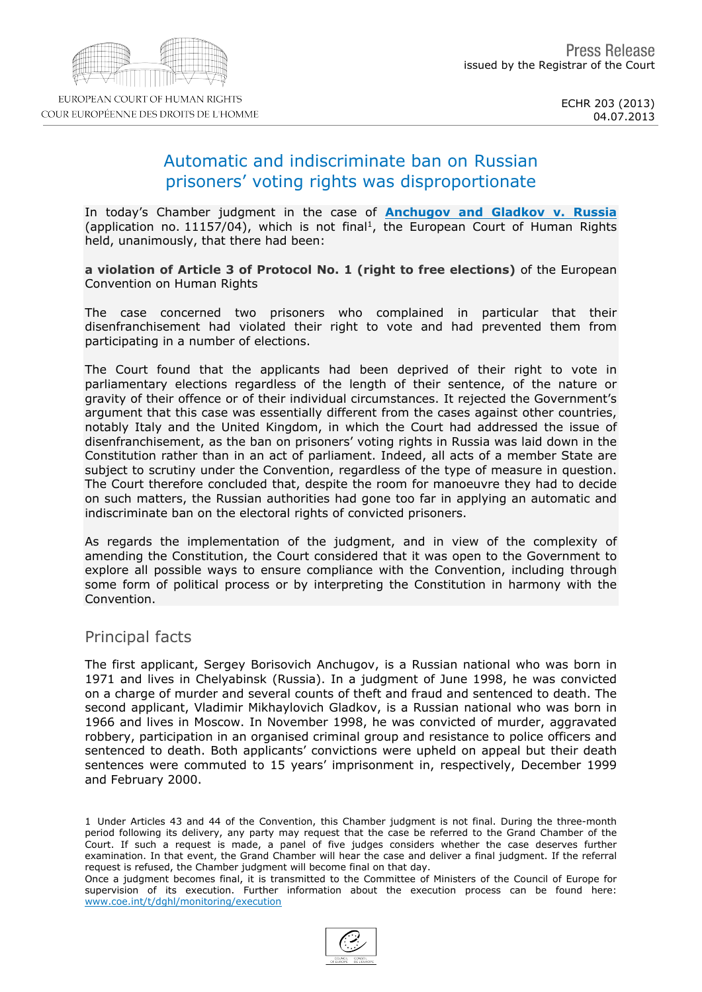# Automatic and indiscriminate ban on Russian prisoners' voting rights was disproportionate

In today's Chamber judgment in the case of [Anchugov](http://hudoc.echr.coe.int/sites/eng/Pages/search.aspx#{"fulltext":["11157/04"],"documentcollectionid2":["GRANDCHAMBER","CHAMBER"],"itemid":["001-122260"]}) [and](http://hudoc.echr.coe.int/sites/eng/Pages/search.aspx#{"fulltext":["11157/04"],"documentcollectionid2":["GRANDCHAMBER","CHAMBER"],"itemid":["001-122260"]}) [Gladkov](http://hudoc.echr.coe.int/sites/eng/Pages/search.aspx#{"fulltext":["11157/04"],"documentcollectionid2":["GRANDCHAMBER","CHAMBER"],"itemid":["001-122260"]}) [v.](http://hudoc.echr.coe.int/sites/eng/Pages/search.aspx#{"fulltext":["11157/04"],"documentcollectionid2":["GRANDCHAMBER","CHAMBER"],"itemid":["001-122260"]}) [Russia](http://hudoc.echr.coe.int/sites/eng/Pages/search.aspx#{"fulltext":["11157/04"],"documentcollectionid2":["GRANDCHAMBER","CHAMBER"],"itemid":["001-122260"]}) (application no.  $11157/04$ ), which is not final<sup>1</sup>, the European Court of Human Rights held, unanimously, that there had been:

a violation of Article 3 of Protocol No. 1 (right to free elections) of the European Convention on Human Rights

The case concerned two prisoners who complained in particular that their disenfranchisement had violated their right to vote and had prevented them from participating in a number of elections.

The Court found that the applicants had been deprived of their right to vote in parliamentary elections regardless of the length of their sentence, of the nature or gravity of their offence or of their individual circumstances. It rejected the Government's argument that this case was essentially different from the cases against other countries, notably Italy and the United Kingdom, in which the Court had addressed the issue of disenfranchisement, as the ban on prisoners' voting rights in Russia was laid down in the Constitution rather than in an act of parliament. Indeed, all acts of a member State are subject to scrutiny under the Convention, regardless of the type of measure in question. The Court therefore concluded that, despite the room for manoeuvre they had to decide on such matters, the Russian authorities had gone too far in applying an automatic and indiscriminate ban on the electoral rights of convicted prisoners.

As regards the implementation of the judgment, and in view of the complexity of amending the Constitution, the Court considered that it was open to the Government to explore all possible ways to ensure compliance with the Convention, including through some form of political process or by interpreting the Constitution in harmony with the Convention.

### Principal facts

The first applicant, Sergey Borisovich Anchugov, is a Russian national who was born in 1971 and lives in Chelyabinsk (Russia). In a judgment of June 1998, he was convicted on a charge of murder and several counts of theft and fraud and sentenced to death. The second applicant, Vladimir Mikhaylovich Gladkov, is a Russian national who was born in 1966 and lives in Moscow. In November 1998, he was convicted of murder, aggravated robbery, participation in an organised criminal group and resistance to police officers and sentenced to death. Both applicants' convictions were upheld on appeal but their death sentences were commuted to 15 years' imprisonment in, respectively, December 1999 and February 2000.

1 Under Articles 43 and 44 of the Convention, this Chamber judgment is not final. During the three-month period following its delivery, any party may request that the case be referred to the Grand Chamber of the Court. If such a request is made, a panel of five judges considers whether the case deserves further examination. In that event, the Grand Chamber will hear the case and deliver a final judgment. If the referral request is refused, the Chamber judgment will become final on that day. Once a judgment becomes final, it is transmitted to the Committee of Ministers of the Council of Europe for supervision of its execution. Further information about the execution process can be found here:

[www.coe.int/t/dghl/monitoring/execution](http://www.coe.int/t/dghl/monitoring/execution)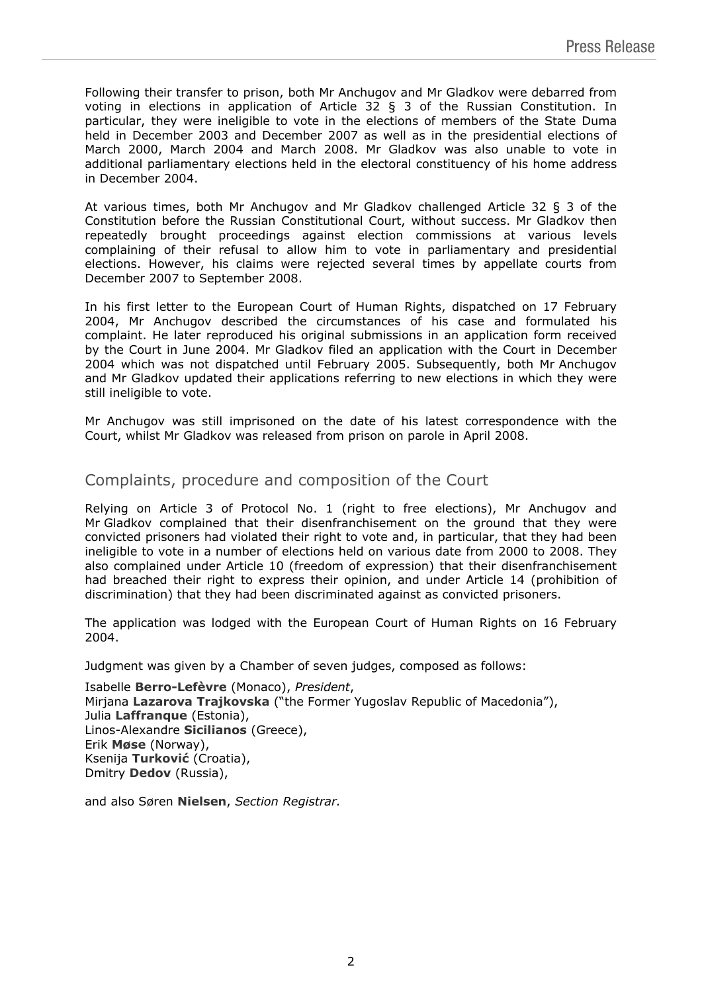Following their transfer to prison, both Mr Anchugov and Mr Gladkov were debarred from voting in elections in application of Article 32 § 3 of the Russian Constitution. In particular, they were ineligible to vote in the elections of members of the State Duma held in December 2003 and December 2007 as well as in the presidential elections of March 2000, March 2004 and March 2008. Mr Gladkov was also unable to vote in additional parliamentary elections held in the electoral constituency of his home address in December 2004.

At various times, both Mr Anchugov and Mr Gladkov challenged Article 32 § 3 of the Constitution before the Russian Constitutional Court, without success. Mr Gladkov then repeatedly brought proceedings against election commissions at various levels complaining of their refusal to allow him to vote in parliamentary and presidential elections. However, his claims were rejected several times by appellate courts from December 2007 to September 2008.

In his first letter to the European Court of Human Rights, dispatched on 17 February 2004, Mr Anchugov described the circumstances of his case and formulated his complaint. He later reproduced his original submissions in an application form received by the Court in June 2004. Mr Gladkov filed an application with the Court in December 2004 which was not dispatched until February 2005. Subsequently, both Mr Anchugov and Mr Gladkov updated their applications referring to new elections in which they were still ineligible to vote.

Mr Anchugov was still imprisoned on the date of his latest correspondence with the Court, whilst Mr Gladkov was released from prison on parole in April 2008.

## Complaints, procedure and composition of the Court

Relying on Article 3 of Protocol No. 1 (right to free elections), Mr Anchugov and Mr Gladkov complained that their disenfranchisement on the ground that they were convicted prisoners had violated their right to vote and, in particular, that they had been ineligible to vote in a number of elections held on various date from 2000 to 2008. They also complained under Article 10 (freedom of expression) that their disenfranchisement had breached their right to express their opinion, and under Article 14 (prohibition of discrimination) that they had been discriminated against as convicted prisoners.

The application was lodged with the European Court of Human Rights on 16 February 2004.

Judgment was given by a Chamber of seven judges, composed as follows:

Isabelle **Berro-Lefèvre** (Monaco), *President*, Mirjana **Lazarova Trajkovska** ("the Former Yugoslav Republic of Macedonia"), Julia **Laffranque** (Estonia), Linos-Alexandre **Sicilianos** (Greece), Erik **Møse** (Norway), Ksenija **Turković** (Croatia), Dmitry **Dedov** (Russia),

and also Søren **Nielsen**, *Section Registrar.*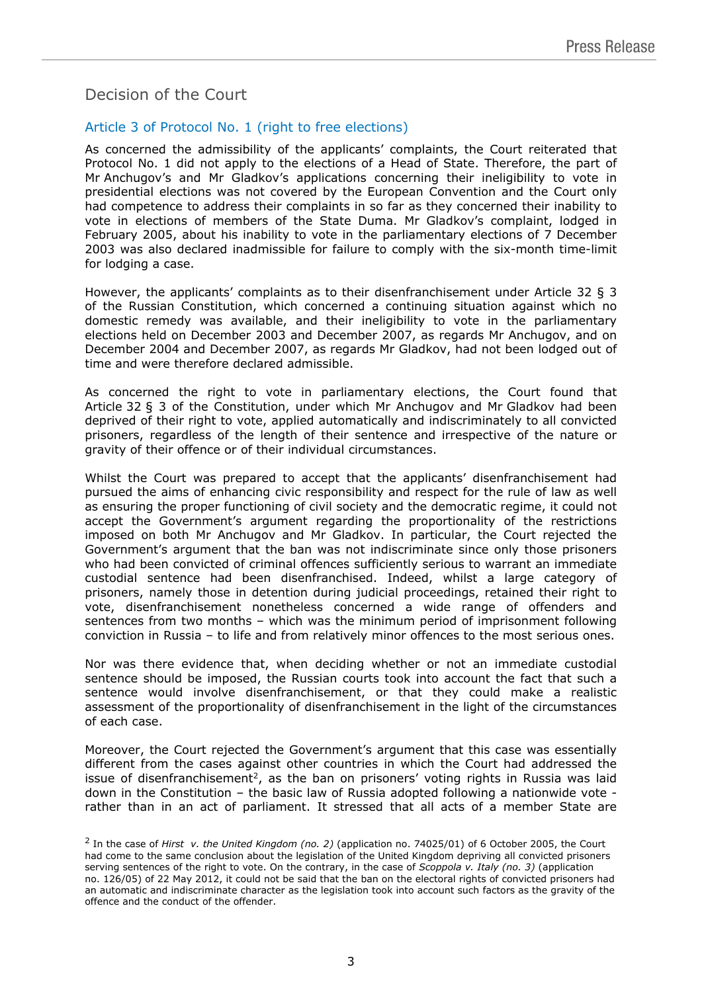## Decision of the Court

### Article 3 of Protocol No. 1 (right to free elections)

As concerned the admissibility of the applicants' complaints, the Court reiterated that Protocol No. 1 did not apply to the elections of a Head of State. Therefore, the part of Mr Anchugov's and Mr Gladkov's applications concerning their ineligibility to vote in presidential elections was not covered by the European Convention and the Court only had competence to address their complaints in so far as they concerned their inability to vote in elections of members of the State Duma. Mr Gladkov's complaint, lodged in February 2005, about his inability to vote in the parliamentary elections of 7 December 2003 was also declared inadmissible for failure to comply with the six-month time-limit for lodging a case.

However, the applicants' complaints as to their disenfranchisement under Article 32 § 3 of the Russian Constitution, which concerned a continuing situation against which no domestic remedy was available, and their ineligibility to vote in the parliamentary elections held on December 2003 and December 2007, as regards Mr Anchugov, and on December 2004 and December 2007, as regards Mr Gladkov, had not been lodged out of time and were therefore declared admissible.

As concerned the right to vote in parliamentary elections, the Court found that Article 32 § 3 of the Constitution, under which Mr Anchugov and Mr Gladkov had been deprived of their right to vote, applied automatically and indiscriminately to all convicted prisoners, regardless of the length of their sentence and irrespective of the nature or gravity of their offence or of their individual circumstances.

Whilst the Court was prepared to accept that the applicants' disenfranchisement had pursued the aims of enhancing civic responsibility and respect for the rule of law as well as ensuring the proper functioning of civil society and the democratic regime, it could not accept the Government's argument regarding the proportionality of the restrictions imposed on both Mr Anchugov and Mr Gladkov. In particular, the Court rejected the Government's argument that the ban was not indiscriminate since only those prisoners who had been convicted of criminal offences sufficiently serious to warrant an immediate custodial sentence had been disenfranchised. Indeed, whilst a large category of prisoners, namely those in detention during judicial proceedings, retained their right to vote, disenfranchisement nonetheless concerned a wide range of offenders and sentences from two months – which was the minimum period of imprisonment following conviction in Russia – to life and from relatively minor offences to the most serious ones.

Nor was there evidence that, when deciding whether or not an immediate custodial sentence should be imposed, the Russian courts took into account the fact that such a sentence would involve disenfranchisement, or that they could make a realistic assessment of the proportionality of disenfranchisement in the light of the circumstances of each case.

Moreover, the Court rejected the Government's argument that this case was essentially different from the cases against other countries in which the Court had addressed the issue of disenfranchisement<sup>2</sup>, as the ban on prisoners' voting rights in Russia was laid down in the Constitution – the basic law of Russia adopted following a nationwide vote rather than in an act of parliament. It stressed that all acts of a member State are

<sup>2</sup> In the case of *Hirst v. the United Kingdom (no. 2)* (application no. 74025/01) of 6 October 2005, the Court had come to the same conclusion about the legislation of the United Kingdom depriving all convicted prisoners serving sentences of the right to vote. On the contrary, in the case of *Scoppola v. Italy (no. 3)* (application no. 126/05) of 22 May 2012, it could not be said that the ban on the electoral rights of convicted prisoners had an automatic and indiscriminate character as the legislation took into account such factors as the gravity of the offence and the conduct of the offender.